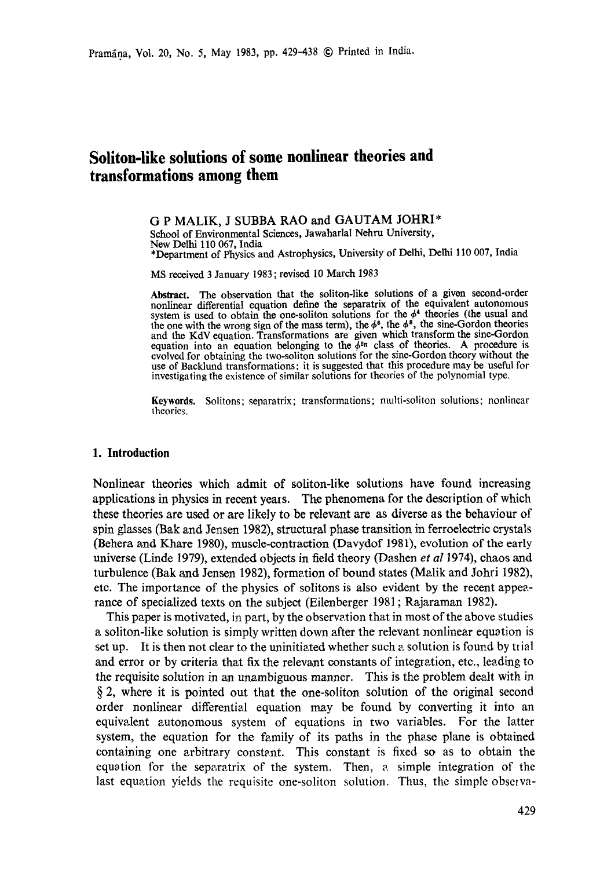# **Soliton-like solutions of some nonlinear theories and transformations among them**

G P MALIK, J SUBBA RAO and GAUTAM JOHRI\* School of Environmental Sciences, Jawaharlal Nehru University, New Delhi 110 067, India \*Department of Physics and Astrophysics, University of Delhi, Delhi 110 007, India

MS received 3 January 1983 ; revised 10 March 1983

Abstract. The observation that the soliton-like solutions of a given second-order nonlinear differential equation define the separatrix of the equivalent autonomous system is used to obtain the one-soliton solutions for the  $\phi^4$  theories (the usual and the one with the wrong sign of the mass term), the  $\phi^s$ , the  $\phi^s$ , the sine-Gordon theories and the KdV equation. Transformations are given which transform the sine-Gordon equation into an equation belonging to the  $\phi^{2n}$  class of theories. A procedure is evolved for obtaining the two-soliton solutions for the sine-Gordon theory without the use of Backlund transformations: it is suggested that this procedure may be useful for investigating the existence of similar solutions for theories of the polynomial type.

**Keywords.** Solitons; separatrix; transformations; multi-soliton solutions; nonlinear theories.

### **1. Introduction**

Nonlinear theories which admit of soliton-like solutions have found increasing applications in physics in recent yeats. The phenomena for the description of which these theories are used or are likely to be relevant are as diverse as the behaviour of spin glasses (Bak and Jensen 1982), structural phase transition in ferroelectric crystals (Behera and Khare 1980), muscle-contraction (Davydof 1981), evolution of the early universe (Linde 1979), extended objects in field theory (Dashen *et a11974),* chaos and turbulence (Bak and Jensen 1982), formation of bound states (Malik and Johri 1982), etc. The importance of the physics of solitons is also evident by the recent appearance of specialized texts on the subject (Eilenberger 1981 ; Rajaraman 1982).

This paper is motivated, in part, by the observation that in most of the above studies a soliton-like solution is simply written down after the relevant nonlinear equation is set up. It is then not clear to the uninitiated whether such a solution is found by trial and error or by criteria that fix the relevant constants of integration, etc., leading to the requisite solution in an unambiguous manner. This is the problem dealt with in § 2, where it is pointed out that the one-soliton solution of the original second order nonlinear differential equation may be found by converting it into an equivalent autonomous system of equations in two variables. For the latter system, the equation for the family of its paths in the phase plane is obtained containing one arbitrary constant. This constant is fixed so as to obtain the equation for the separatrix of the system. Then, a simple integration of the last equation yields the requisite one-soliton solution. Thus, the simple observa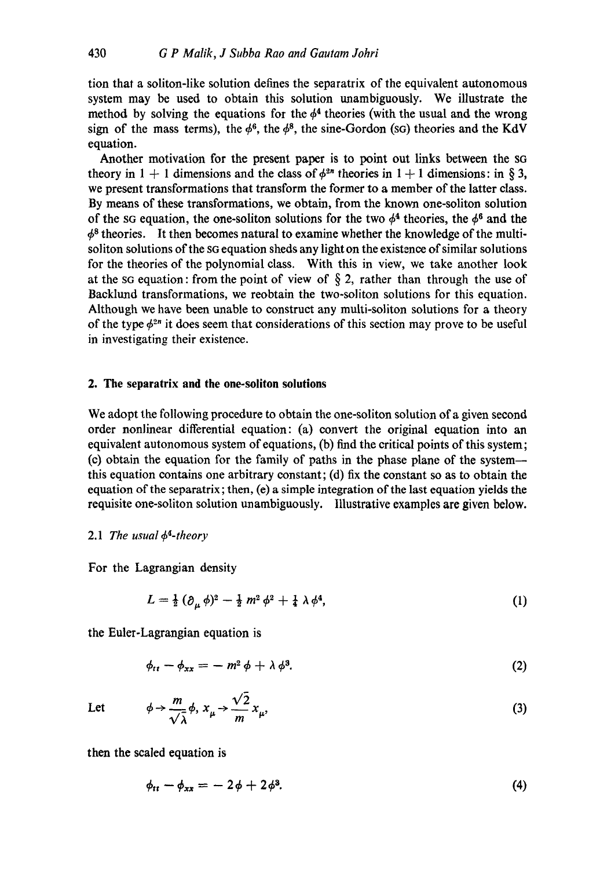tion that a soliton-like solution defines the separatrix of the equivalent atttonomous system may be used to obtain this solution unambiguously. We illustrate the method by solving the equations for the  $\phi^4$  theories (with the usual and the wrong sign of the mass terms), the  $\phi^6$ , the  $\phi^8$ , the sine-Gordon (sG) theories and the KdV equation.

Another motivation for the present paper is to point out links between the sq theory in  $1 + 1$  dimensions and the class of  $\phi^{2n}$  theories in  $1 + 1$  dimensions: in § 3, we present transformations that transform the former to a member of the latter class. By means of these transformations, we obtain, from the known one-soliton solution of the sG equation, the one-soliton solutions for the two  $\phi^4$  theories, the  $\phi^6$  and the  $\phi^8$  theories. It then becomes natural to examine whether the knowledge of the multisoliton solutions of the SG equation sheds any light on the existence of similar solutions for the theories of the polynomial class. With this in view, we take another look at the so equation: from the point of view of  $\S 2$ , rather than through the use of Baeklund transformations, we reobtain the two-soliton solutions for this equation. Although we have been unable to construct any multi-soliton solutions for a theory of the type  $\phi^{2n}$  it does seem that considerations of this section may prove to be useful in investigating their existence.

#### **2. The separatrix and the one-soliton solutions**

We adopt the following procedure to obtain the one-soliton solution of a given second order nonlinear differential equation: (a) convert the original equation into an equivalent autonomous system of equations, (b) find the critical points of this system; (c) obtain the equation for the family of paths in the phase plane of the system- this equation contains one arbitrary constant; (d) fix the constant so as to obtain the equation of the separatrix; then, (e) a simple integration of the last equation yields the requisite one-soliton solution unambiguously. Illustrative examples are given below.

#### 2.1 *The usual*  $\phi^4$ -theory

For the Lagrangian density

$$
L = \frac{1}{2} \left( \partial_{\mu} \phi \right)^2 - \frac{1}{2} m^2 \phi^2 + \frac{1}{4} \lambda \phi^4, \tag{1}
$$

the Euler-Lagrangian equation is

$$
\phi_{tt} - \phi_{xx} = -m^2 \phi + \lambda \phi^3. \tag{2}
$$

Let 
$$
\phi \to \frac{m}{\sqrt{\lambda}} \phi, x_{\mu} \to \frac{\sqrt{2}}{m} x_{\mu},
$$
 (3)

then the scaled equation is

$$
\phi_{tt} - \phi_{xx} = -2\phi + 2\phi^3. \tag{4}
$$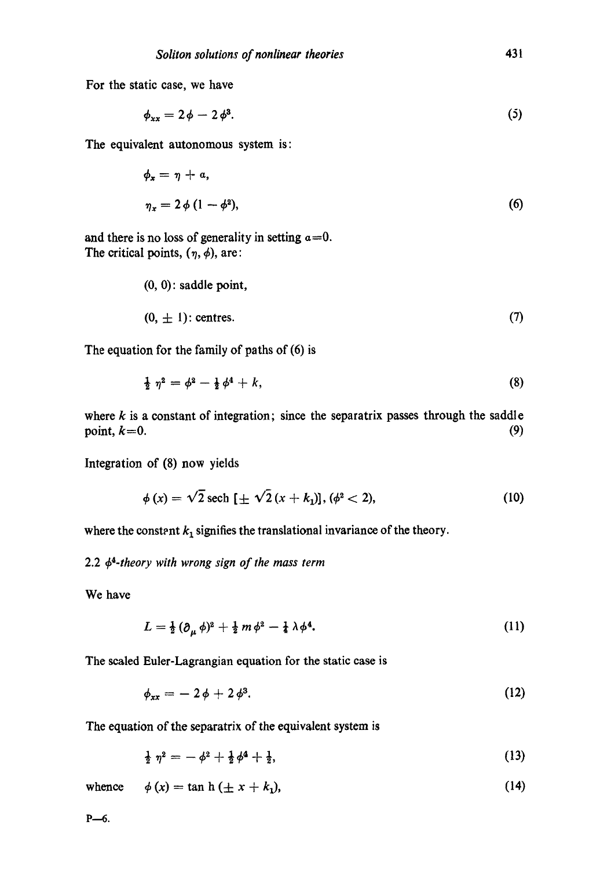For the static case, we have

$$
\phi_{xx} = 2\phi - 2\phi^3. \tag{5}
$$

The equivalent autonomous system is:

$$
\phi_x = \eta + a,
$$
  
\n
$$
\eta_x = 2 \phi (1 - \phi^2),
$$
\n(6)

and there is no loss of generality in setting  $a=0$ . The critical points,  $(\eta, \phi)$ , are:

$$
(0, 0): saddle point,
$$
  

$$
(0, \pm 1): centres.
$$
 (7)

The equation for the family of paths of (6) is

$$
\frac{1}{2} \eta^2 = \phi^2 - \frac{1}{2} \phi^4 + k,\tag{8}
$$

where  $k$  is a constant of integration; since the separatrix passes through the saddle point,  $k=0$ . (9)

Integration of (8) now yields

$$
\phi(x) = \sqrt{2} \text{ sech } [\pm \sqrt{2} (x + k_1)], (\phi^2 < 2), \tag{10}
$$

where the constant  $k_1$  signifies the translational invariance of the theory.

2.2 *44-theory with wrong sign of the mass term* 

We have

$$
L = \frac{1}{2} \left( \partial_{\mu} \phi \right)^2 + \frac{1}{2} m \phi^2 - \frac{1}{4} \lambda \phi^4. \tag{11}
$$

The sealed Euler-Lagrangian equation for the static case is

$$
\phi_{xx} = -2\phi + 2\phi^3. \tag{12}
$$

The equation of the separatrix of the equivalent system is

 $\frac{1}{2} \eta^2 = -\phi^2 + \frac{1}{2} \phi^4 + \frac{1}{2},$  (13)

whence  $\phi(x) = \tan h (\pm x + k_1),$  (14)

 $P_{-6.}$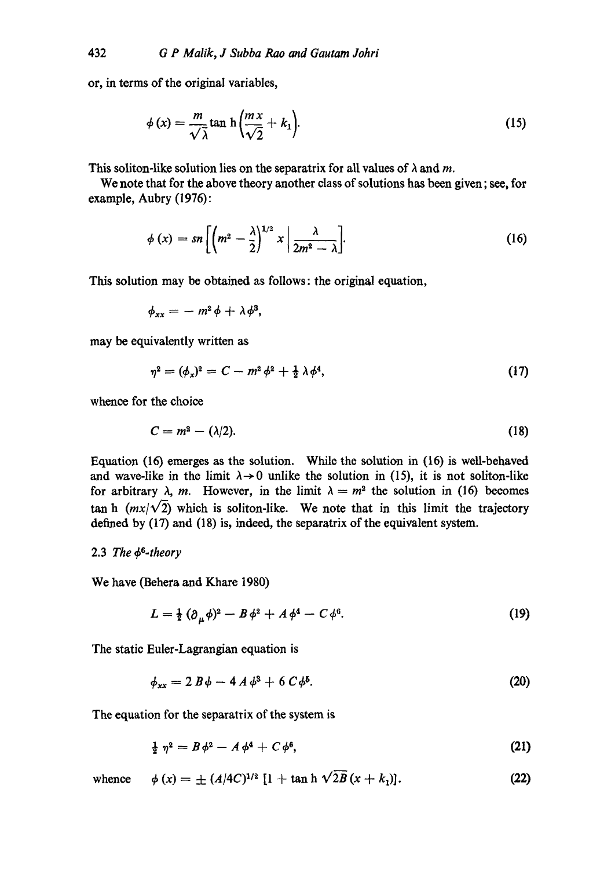or, in terms of the original variables,

$$
\phi(x) = \frac{m}{\sqrt{\lambda}} \tan \frac{h}{\sqrt{2}} + k_1 \tag{15}
$$

This soliton-like solution lies on the separatrix for all values of  $\lambda$  and m.

We note that for the above theory another class of solutions has been given; see, for example, Aubry (1976):

$$
\phi(x) = sn \left[ \left( m^2 - \frac{\lambda}{2} \right)^{1/2} x \middle| \frac{\lambda}{2m^2 - \lambda} \right].
$$
 (16)

This solution may be obtained as follows: the original equation,

 $\phi_{xx} = -m^2\phi + \lambda\phi^3$ ,

may be equivalently written as

$$
\eta^2 = (\phi_x)^2 = C - m^2 \phi^2 + \frac{1}{2} \lambda \phi^4, \tag{17}
$$

whence for the choice

$$
C = m^2 - (\lambda/2). \tag{18}
$$

Equation (16) emerges as the solution. While the solution in (16) is well-behaved and wave-like in the limit  $\lambda \rightarrow 0$  unlike the solution in (15), it is not soliton-like for arbitrary  $\lambda$ , *m*. However, in the limit  $\lambda = m^2$  the solution in (16) becomes tan h  $(mx/\sqrt{2})$  which is soliton-like. We note that in this limit the trajectory defined by (17) and (18) is, indeed, the separatrix of the equivalent system.

#### 2.3 *The 4S-theory*

We have (Behera and Khare 1980)

$$
L = \frac{1}{2} \left( \partial_{\mu} \phi \right)^2 - B \phi^2 + A \phi^4 - C \phi^6. \tag{19}
$$

The static Euler-Lagrangian equation is

$$
\phi_{xx} = 2 B \phi - 4 A \phi^3 + 6 C \phi^5. \tag{20}
$$

The equation for the separatrix of the system is

$$
\frac{1}{2} \eta^2 = B \phi^2 - A \phi^4 + C \phi^6, \tag{21}
$$

whence  $\phi(x) = \pm (A/4C)^{1/2} [1 + \tan h \sqrt{2B} (x + k_1)].$  (22)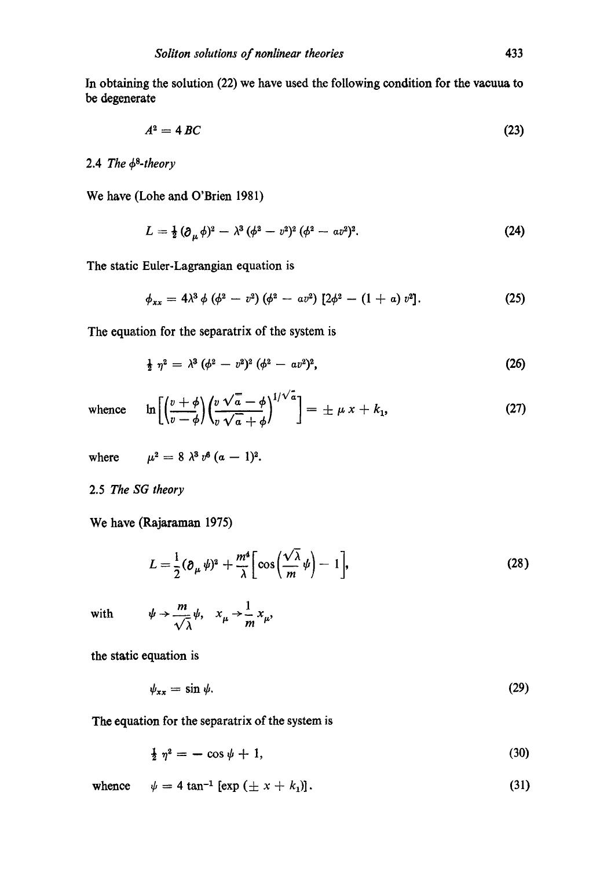In obtaining the solution (22) we have used the following condition for the vacuua to be degenerate

$$
A^2 = 4 BC \tag{23}
$$

# 2.4 *The*  $\phi^8$ -theory

We have (Lohe and O'Brien 1981)

$$
L = \frac{1}{2} (\partial_{\mu} \phi)^2 - \lambda^3 (\phi^2 - v^2)^2 (\phi^2 - a v^2)^2.
$$
 (24)

The static Euler-Lagrangian equation is

$$
\phi_{xx} = 4\lambda^3 \phi (\phi^2 - v^2) (\phi^2 - a v^2) [2\phi^2 - (1 + a) v^2]. \tag{25}
$$

The equation for the separatrix of the system is

$$
\frac{1}{2} \eta^2 = \lambda^3 (\phi^2 - v^2)^2 (\phi^2 - a v^2)^2, \tag{26}
$$

whence 
$$
\ln\left[\left(\frac{v+\phi}{v-\phi}\right)\left(\frac{v\sqrt{a}-\phi}{v\sqrt{a}+\phi}\right)^{1/\sqrt{a}}\right] = \pm \mu x + k_1,
$$
 (27)

where  $\mu^2 = 8 \lambda^3 v^6 (a - 1)^2$ .

2.5 *The SG theory* 

**We** have (Rajaraman **1975)** 

$$
L = \frac{1}{2} (\partial_{\mu} \psi)^2 + \frac{m^4}{\lambda} \bigg[ \cos \left( \frac{\sqrt{\lambda}}{m} \psi \right) - 1 \bigg], \tag{28}
$$

with  $\psi \to \frac{m}{\sqrt{2}} \psi$ ,  $x_{\mu} \to \frac{1}{m} x_{\mu}$ ,

the static equation is

$$
\psi_{xx} = \sin \psi. \tag{29}
$$

The equation for the separatrix of the system is

$$
\frac{1}{2} \eta^2 = -\cos \psi + 1,\tag{30}
$$

**whence**  $\psi = 4 \tan^{-1} [\exp (\pm x + k_1)].$ **(31)**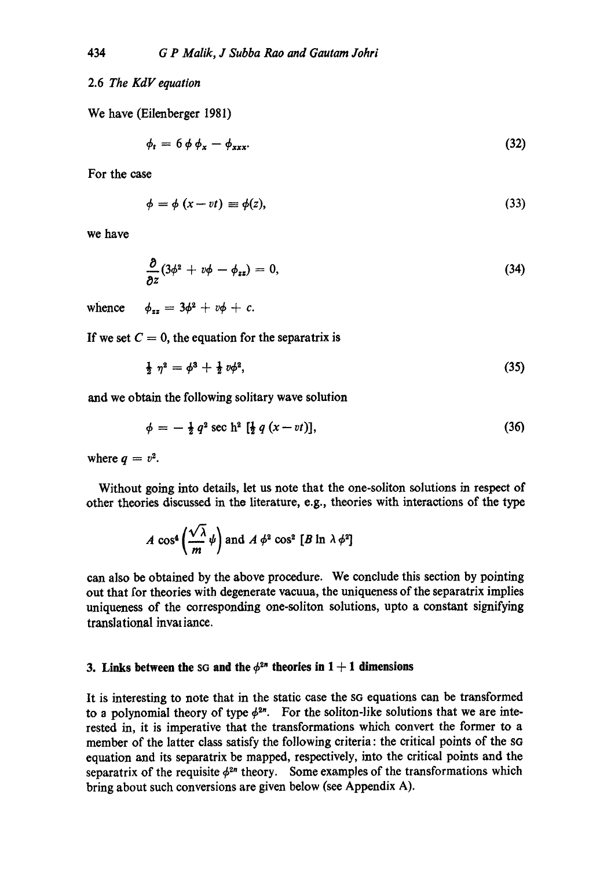## 2.6 *The KdV equation*

We have (Eilenberger 1981)

$$
\phi_t = 6 \phi \phi_x - \phi_{xxx}.
$$
\n(32)

For the ease

$$
\phi = \phi \left( x - vt \right) \equiv \phi(z),\tag{33}
$$

we have

$$
\frac{\partial}{\partial z}(3\phi^2+v\phi-\phi_{zz})=0, \qquad (34)
$$

whence  $\phi_{zz} = 3\phi^2 + v\phi + c$ .

If we set  $C = 0$ , the equation for the separatrix is

$$
\frac{1}{2} \eta^2 = \phi^3 + \frac{1}{2} \psi^2, \tag{35}
$$

and we obtain the following solitary wave solution

$$
\phi = -\frac{1}{2} q^2 \sec \mathbf{h}^2 \left[ \frac{1}{2} q \left( x - vt \right) \right], \tag{36}
$$

where  $q = v^2$ .

Without going into details, let us note that the one-soliton solutions in respect of other theories discussed in tho literature, e.g., theories with interactions of the type

$$
A\,\cos^4\left(\frac{\sqrt{\lambda}}{m}\,\psi\right)
$$
 and  $A\,\phi^2\,\cos^2\,[B\,\ln\,\lambda\,\phi^2]$ 

can also be obtained by the above procedure. We conclude this section by pointing out that for theories with degenerate vacuua, the uniqueness of the separatrix implies uniqueness of the corresponding one-soliton solutions, upto a constant signifying translational invaliance.

#### **3. Links between the sG and the**  $\phi^{2n}$  **theories in 1 + 1 dimensions**

It is interesting to note that in the static case the SG equations can be transformed to a polynomial theory of type  $\phi^{2n}$ . For the soliton-like solutions that we are interested in, it is imperative that the transformations which convert the former to a member of the latter class satisfy the following criteria : the critical points of the SG equation and its separatrix be mapped, respectively, into the critical points and the separatrix of the requisite  $\phi^{2n}$  theory. Some examples of the transformations which bring about such conversions are given below (see Appendix A).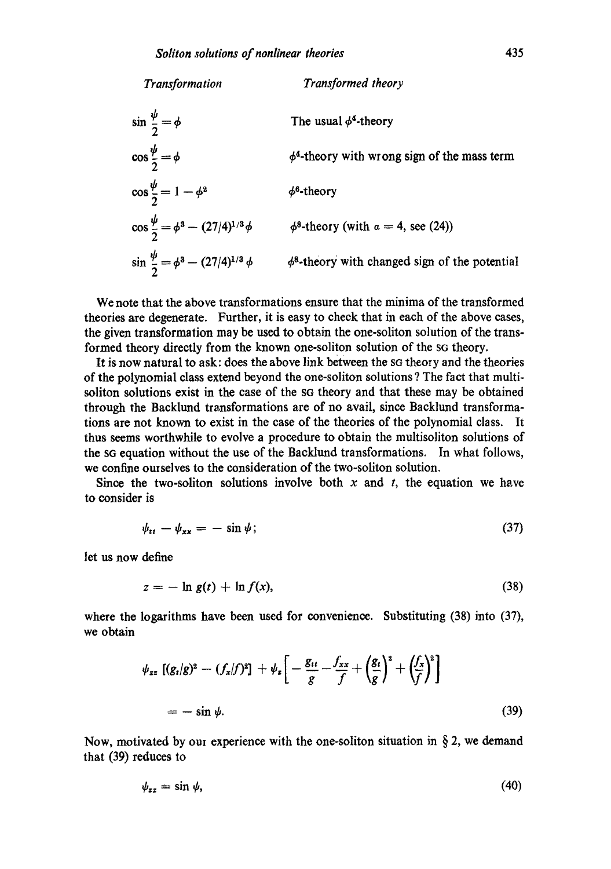| Transformation                                     | Transformed theory                                  |
|----------------------------------------------------|-----------------------------------------------------|
| $\sin \frac{\psi}{2} = \phi$                       | The usual $\phi^4$ -theory                          |
| $\cos\frac{\psi}{2} = \phi$                        | $\phi^4$ -theory with wrong sign of the mass term   |
| $\cos \frac{\psi}{2} = 1 - \phi^2$                 | $\phi^6$ -theory                                    |
| $\cos\frac{\psi}{2} = \phi^3 - (27/4)^{1/3}\phi$   | $\phi^8$ -theory (with $\alpha = 4$ , see (24))     |
| $\sin \frac{\psi}{2} = \phi^3 - (27/4)^{1/3} \phi$ | $\phi^8$ -theory with changed sign of the potential |

We note that the above transformations ensure that the minima of the transformed theories are degenerate. Further, it is easy to cheek that in each of the above cases, the given transformation may be used to obtain the one-soliton solution of the transformed theory directly from the known one-soliton solution of the sq theory.

It is now natural to ask: does the above link between the sq theory and the theories of the polynomial class extend beyond the one-soliton solutions ? The fact that multisoliton solutions exist in the case of the so theory and that these may be obtained through the Backlund transformations are of no avail, since Backlund transformations are not known to exist in the case of the theories of the polynomial class. It thus seems worthwhile to evolve a procedure to obtain the multisoliton solutions of the sG equation without the use of the Bacldund transformations. In what follows, we confine ourselves to the consideration of the two-soliton solution.

Since the two-soliton solutions involve both x and t, the equation we have to consider is

$$
\psi_{tt} - \psi_{xx} = -\sin\psi; \tag{37}
$$

let us now define

$$
z = -\ln g(t) + \ln f(x),\tag{38}
$$

where the logarithms have been used for convenience. Substituting (38) into (37), we obtain

$$
\psi_{zz} \left[ (g_t/g)^2 - (f_x/f)^2 \right] + \psi_z \left[ -\frac{g_{tt}}{g} - \frac{f_{xx}}{f} + \left( \frac{g_t}{g} \right)^2 + \left( \frac{f_x}{f} \right)^2 \right]
$$
  
=  $-\sin \psi$ . (39)

Now, motivated by our experience with the one-soliton situation in  $\S 2$ , we demand that (39) reduces to

$$
\psi_{zz} = \sin \psi, \tag{40}
$$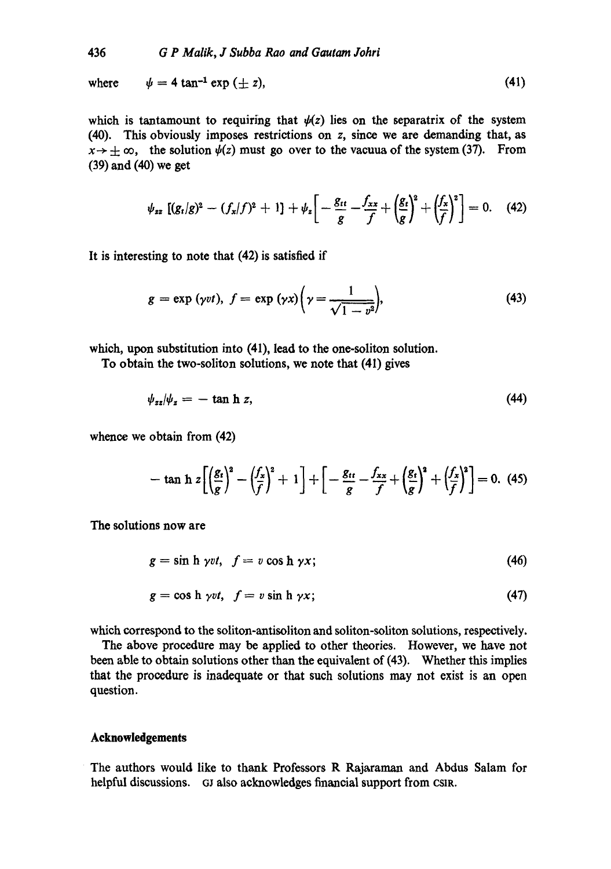where  $\psi = 4 \tan^{-1} \exp (+z)$ , (41)

which is tantamount to requiring that  $\psi(z)$  lies on the separatrix of the system (40). This obviously imposes restrictions on z, since we are demanding that, as  $x \rightarrow +\infty$ , the solution  $\psi(z)$  must go over to the vacuua of the system (37). From **(39) and (40)** we get

$$
\psi_{zz}\left[ (g_t/g)^2 - (f_x/f)^2 + 1 \right] + \psi_z \bigg[ -\frac{g_{tt}}{g} - \frac{f_{xx}}{f} + \left( \frac{g_t}{g} \right)^2 + \left( \frac{f_x}{f} \right)^2 \bigg] = 0. \quad (42)
$$

It is interesting to note that (42) is satisfied if

$$
g = \exp\left(\gamma vt\right), \ f = \exp\left(\gamma x\right) \left(\gamma = \frac{1}{\sqrt{1 - v^2}}\right),\tag{43}
$$

which, upon substitution into (41), lead to the one-soliton solution.

To obtain the two-soliton solutions, we note that (41) gives

$$
\psi_{zz}|\psi_z = -\tan\,h\,z,\tag{44}
$$

whence we obtain from (42)

$$
-\tanh z \left[ \left( \frac{g_t}{g} \right)^2 - \left( \frac{f_x}{f} \right)^2 + 1 \right] + \left[ -\frac{g_{tt}}{g} - \frac{f_{xx}}{f} + \left( \frac{g_t}{g} \right)^2 + \left( \frac{f_x}{f} \right)^2 \right] = 0. \tag{45}
$$

The solutions now are

$$
g = \sin h \, \gamma \nu t, \quad f = \nu \cos h \, \gamma x; \tag{46}
$$

$$
g = \cos h \, \gamma vt, \quad f = v \sin h \, \gamma x; \tag{47}
$$

which correspond to the soliton-antisoliton and soliton-soliton solutions, respectively.

The above procedure may be applied to other theories. However, we have not been able to obtain solutions other than the equivalent of (43). Whether this implies that the procedure is inadequate or that such solutions may not exist is an open question.

# **Acknowledgements**

The authors would like to thank Professors R Rajararnan and Abdus Salam for helpful discussions. GJ also acknowledges financial support from CSIR.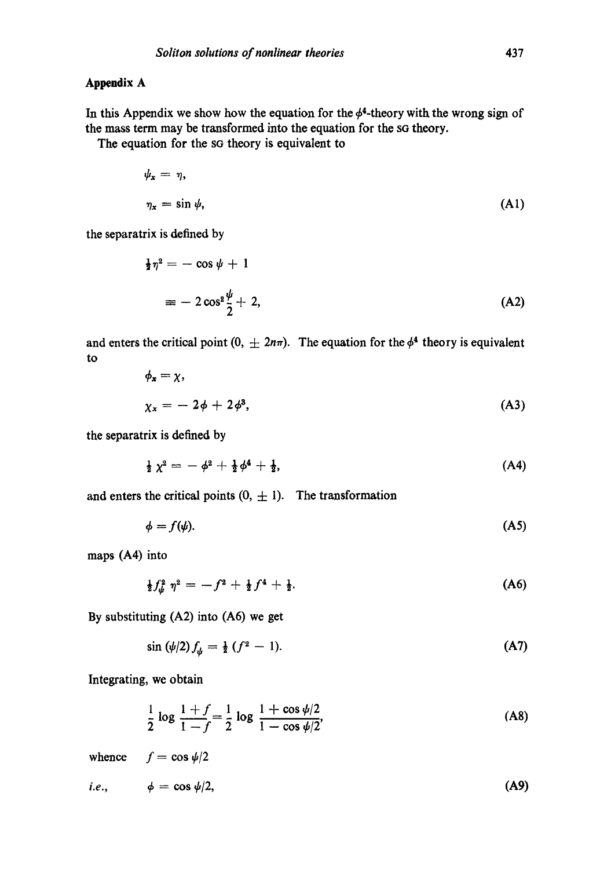### **Appendix A**

In this Appendix we show how the equation for the  $\phi^4$ -theory with the wrong sign of the mass term may be transformed into the equation for the so theory.

The equation for the sG theory is equivalent to

$$
\psi_x = \eta,
$$
  
\n
$$
\eta_x = \sin \psi,
$$
\n(A1)

the separatrix is defined by

$$
\frac{1}{2}\eta^2 = -\cos\psi + 1
$$
  
=  $-2\cos^2\frac{\psi}{2} + 2,$  (A2)

and enters the critical point  $(0, \pm 2n\pi)$ . The equation for the  $\phi^4$  theory is equivalent to

$$
\phi_x = \chi,
$$
  
\n
$$
\chi_x = -2\phi + 2\phi^3,
$$
\n(A3)

the separatrix is defined by

$$
\frac{1}{2}\chi^2 = -\phi^2 + \frac{1}{2}\phi^4 + \frac{1}{2}, \qquad (A4)
$$

and enters the critical points  $(0, \pm 1)$ . The transformation

$$
\phi = f(\psi). \tag{A5}
$$

maps (A4) into

$$
\frac{1}{2}f_{\psi}^2 \eta^2 = -f^2 + \frac{1}{2}f^4 + \frac{1}{2}.\tag{A6}
$$

**By substituting (A2) into (A6)** we get

 $\sin (\psi/2) f_{\psi} = \frac{1}{2} (f^2 - 1).$ (A7)

Integrating, we obtain

$$
\frac{1}{2}\log\frac{1+f}{1-f} = \frac{1}{2}\log\frac{1+\cos\psi/2}{1-\cos\psi/2},\tag{A8}
$$

whence  $f = \cos \psi/2$ *i.e.,*  $\phi = \cos \psi/2$ , (A9)